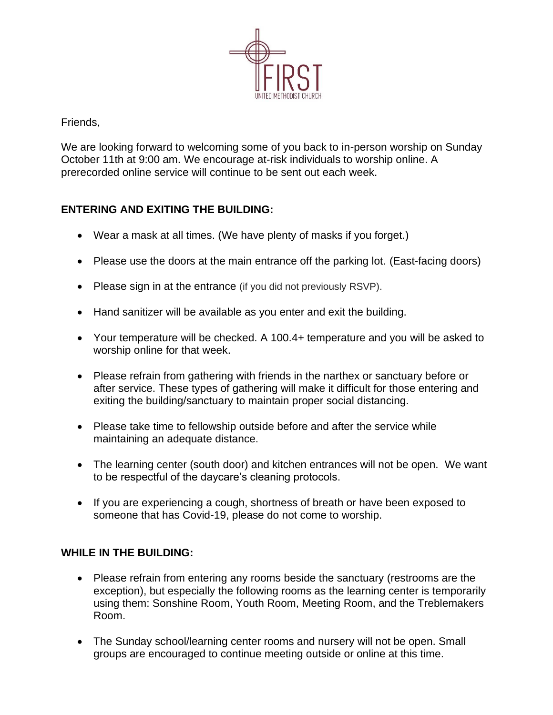

Friends,

We are looking forward to welcoming some of you back to in-person worship on Sunday October 11th at 9:00 am. We encourage at-risk individuals to worship online. A prerecorded online service will continue to be sent out each week.

## **ENTERING AND EXITING THE BUILDING:**

- Wear a mask at all times. (We have plenty of masks if you forget.)
- Please use the doors at the main entrance off the parking lot. (East-facing doors)
- Please sign in at the entrance (if you did not previously RSVP).
- Hand sanitizer will be available as you enter and exit the building.
- Your temperature will be checked. A 100.4+ temperature and you will be asked to worship online for that week.
- Please refrain from gathering with friends in the narthex or sanctuary before or after service. These types of gathering will make it difficult for those entering and exiting the building/sanctuary to maintain proper social distancing.
- Please take time to fellowship outside before and after the service while maintaining an adequate distance.
- The learning center (south door) and kitchen entrances will not be open. We want to be respectful of the daycare's cleaning protocols.
- If you are experiencing a cough, shortness of breath or have been exposed to someone that has Covid-19, please do not come to worship.

## **WHILE IN THE BUILDING:**

- Please refrain from entering any rooms beside the sanctuary (restrooms are the exception), but especially the following rooms as the learning center is temporarily using them: Sonshine Room, Youth Room, Meeting Room, and the Treblemakers Room.
- The Sunday school/learning center rooms and nursery will not be open. Small groups are encouraged to continue meeting outside or online at this time.